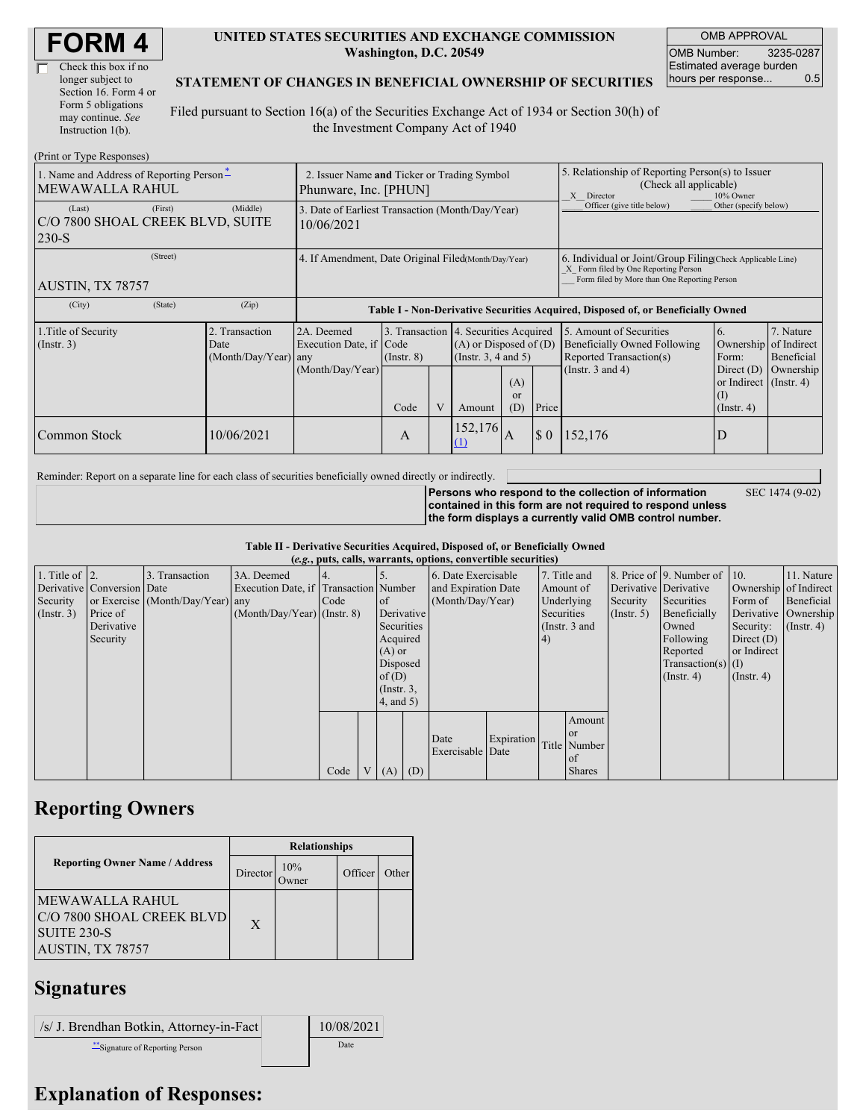| <b>FORM4</b> |
|--------------|
|--------------|

| Check this box if no  |
|-----------------------|
| longer subject to     |
| Section 16. Form 4 or |
| Form 5 obligations    |
| may continue. See     |
| Instruction 1(b).     |

#### **UNITED STATES SECURITIES AND EXCHANGE COMMISSION Washington, D.C. 20549**

OMB APPROVAL OMB Number: 3235-0287 Estimated average burden hours per response... 0.5

SEC 1474 (9-02)

### **STATEMENT OF CHANGES IN BENEFICIAL OWNERSHIP OF SECURITIES**

Filed pursuant to Section 16(a) of the Securities Exchange Act of 1934 or Section 30(h) of the Investment Company Act of 1940

| (Print or Type Responses)                                                                  |                                                                      |                                                                                  |                 |                |                                                                                             |                                                                                                       |                             |                                                                                                                                                    |                                                                         |                         |  |
|--------------------------------------------------------------------------------------------|----------------------------------------------------------------------|----------------------------------------------------------------------------------|-----------------|----------------|---------------------------------------------------------------------------------------------|-------------------------------------------------------------------------------------------------------|-----------------------------|----------------------------------------------------------------------------------------------------------------------------------------------------|-------------------------------------------------------------------------|-------------------------|--|
| 1. Name and Address of Reporting Person-<br><b>MEWAWALLA RAHUL</b>                         | 2. Issuer Name and Ticker or Trading Symbol<br>Phunware, Inc. [PHUN] |                                                                                  |                 |                |                                                                                             | 5. Relationship of Reporting Person(s) to Issuer<br>(Check all applicable)<br>X Director<br>10% Owner |                             |                                                                                                                                                    |                                                                         |                         |  |
| (First)<br>(Last)<br>C/O 7800 SHOAL CREEK BLVD, SUITE<br>$230-S$                           | (Middle)                                                             | 3. Date of Earliest Transaction (Month/Day/Year)<br>10/06/2021                   |                 |                |                                                                                             |                                                                                                       | Officer (give title below)  | Other (specify below)                                                                                                                              |                                                                         |                         |  |
| (Street)<br>AUSTIN, TX 78757                                                               |                                                                      | 4. If Amendment, Date Original Filed(Month/Day/Year)                             |                 |                |                                                                                             |                                                                                                       |                             | 6. Individual or Joint/Group Filing Check Applicable Line)<br>X Form filed by One Reporting Person<br>Form filed by More than One Reporting Person |                                                                         |                         |  |
| (State)<br>(City)                                                                          | (Zip)                                                                | Table I - Non-Derivative Securities Acquired, Disposed of, or Beneficially Owned |                 |                |                                                                                             |                                                                                                       |                             |                                                                                                                                                    |                                                                         |                         |  |
| 1. Title of Security<br>2. Transaction<br>$($ Instr. 3 $)$<br>Date<br>(Month/Day/Year) any |                                                                      | 2A. Deemed<br>Execution Date, if Code                                            | $($ Instr. $8)$ |                | 3. Transaction 4. Securities Acquired<br>$(A)$ or Disposed of $(D)$<br>(Insert. 3, 4 and 5) |                                                                                                       |                             | 5. Amount of Securities<br><b>Beneficially Owned Following</b><br>Reported Transaction(s)                                                          | <sup>6.</sup><br>Ownership of Indirect<br>Form:                         | 7. Nature<br>Beneficial |  |
|                                                                                            |                                                                      | (Month/Day/Year)                                                                 | Code            | $\overline{V}$ | Amount                                                                                      | (A)<br><sub>or</sub><br>(D)                                                                           | Price                       | (Instr. $3$ and $4$ )                                                                                                                              | Direct $(D)$<br>or Indirect $($ Instr. 4)<br>$($ I)<br>$($ Instr. 4 $)$ | Ownership               |  |
| Common Stock                                                                               | 10/06/2021                                                           |                                                                                  | A               |                | 152,176<br>(1)                                                                              | A                                                                                                     | $\boldsymbol{\mathsf{S}}$ 0 | 152,176                                                                                                                                            | D                                                                       |                         |  |

Reminder: Report on a separate line for each class of securities beneficially owned directly or indirectly.

**Persons who respond to the collection of information contained in this form are not required to respond unless the form displays a currently valid OMB control number.**

**Table II - Derivative Securities Acquired, Disposed of, or Beneficially Owned**

|                        | (e.g., puts, calls, warrants, options, convertible securities) |                                  |                                       |      |             |                     |                  |                     |            |                       |               |                       |                          |                  |                      |
|------------------------|----------------------------------------------------------------|----------------------------------|---------------------------------------|------|-------------|---------------------|------------------|---------------------|------------|-----------------------|---------------|-----------------------|--------------------------|------------------|----------------------|
| 1. Title of $\vert$ 2. |                                                                | 3. Transaction                   | 3A. Deemed                            |      |             |                     |                  | 6. Date Exercisable |            |                       | 7. Title and  |                       | 8. Price of 9. Number of | $\vert$ 10.      | 11. Nature           |
|                        | Derivative Conversion Date                                     |                                  | Execution Date, if Transaction Number |      |             | and Expiration Date |                  | Amount of           |            | Derivative Derivative |               | Ownership of Indirect |                          |                  |                      |
| Security               |                                                                | or Exercise (Month/Day/Year) any |                                       | Code |             | <sub>of</sub>       | (Month/Day/Year) |                     | Underlying |                       | Security      | Securities            | Form of                  | Beneficial       |                      |
| $($ Instr. 3 $)$       | Price of                                                       |                                  | $(Month/Day/Year)$ (Instr. 8)         |      |             | Derivative          |                  |                     |            | Securities            |               | $($ Instr. 5)         | Beneficially             |                  | Derivative Ownership |
|                        | Derivative                                                     |                                  |                                       |      |             | Securities          |                  |                     |            |                       | (Instr. 3 and |                       | Owned                    | Security:        | $($ Instr. 4 $)$     |
|                        | Security                                                       |                                  |                                       |      |             | Acquired            |                  |                     |            | 4)                    |               |                       | Following                | Direct $(D)$     |                      |
|                        |                                                                |                                  |                                       |      |             | $(A)$ or            |                  |                     |            |                       |               |                       | Reported                 | or Indirect      |                      |
|                        |                                                                |                                  |                                       |      |             | Disposed            |                  |                     |            |                       |               |                       | Transaction(s) $(I)$     |                  |                      |
|                        |                                                                |                                  |                                       |      |             | of(D)               |                  |                     |            |                       |               |                       | $($ Instr. 4 $)$         | $($ Instr. 4 $)$ |                      |
|                        |                                                                |                                  |                                       |      |             | $($ Instr. $3,$     |                  |                     |            |                       |               |                       |                          |                  |                      |
|                        |                                                                |                                  |                                       |      |             | $4$ , and $5$ )     |                  |                     |            |                       |               |                       |                          |                  |                      |
|                        |                                                                |                                  |                                       |      |             |                     |                  |                     |            |                       | Amount        |                       |                          |                  |                      |
|                        |                                                                |                                  |                                       |      |             |                     |                  |                     |            |                       | <sub>or</sub> |                       |                          |                  |                      |
|                        |                                                                |                                  |                                       |      |             |                     |                  | Date                | Expiration |                       | Title Number  |                       |                          |                  |                      |
|                        |                                                                |                                  |                                       |      |             |                     |                  | Exercisable Date    |            |                       | of            |                       |                          |                  |                      |
|                        |                                                                |                                  |                                       | Code | $V_{\perp}$ | (A)                 | (D)              |                     |            |                       | <b>Shares</b> |                       |                          |                  |                      |

### **Reporting Owners**

|                                                                                         | <b>Relationships</b> |                       |         |       |  |  |  |  |
|-----------------------------------------------------------------------------------------|----------------------|-----------------------|---------|-------|--|--|--|--|
| <b>Reporting Owner Name / Address</b>                                                   | Director             | 10%<br><b>T</b> Jwner | Officer | Other |  |  |  |  |
| IMEWAWALLA RAHUL<br>C/O 7800 SHOAL CREEK BLVD<br><b>SUITE 230-S</b><br>AUSTIN, TX 78757 | X                    |                       |         |       |  |  |  |  |

## **Signatures**

/s/ J. Brendhan Botkin, Attorney-in-Fact 10/08/2021 \*\*Signature of Reporting Person Date

# **Explanation of Responses:**